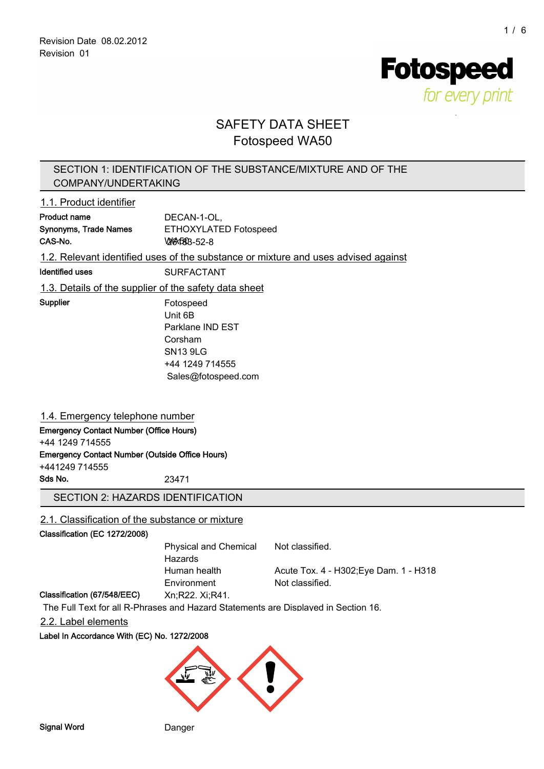**Fotospeed** for every print

# SAFETY DATA SHEET Fotospeed WA50

# SECTION 1: IDENTIFICATION OF THE SUBSTANCE/MIXTURE AND OF THE COMPANY/UNDERTAKING

## 1.1. Product identifier

| <b>Product name</b>                                                                | DECAN-1-OL,           |  |
|------------------------------------------------------------------------------------|-----------------------|--|
| <b>Synonyms, Trade Names</b>                                                       | ETHOXYLATED Fotospeed |  |
| CAS-No.                                                                            | <b>WAGRB-52-8</b>     |  |
| 1.2. Relevant identified uses of the substance or mixture and uses advised against |                       |  |

Identified uses SURFACTANT

1.3. Details of the supplier of the safety data sheet

Supplier Fotospeed Unit 6B Parklane IND EST Corsham SN13 9LG +44 1249 714555 Sales@fotospeed.com

# 1.4. Emergency telephone number

Emergency Contact Number (Office Hours) +44 1249 714555

Emergency Contact Number (Outside Office Hours)

+441249 714555

Sds No. 23471

# SECTION 2: HAZARDS IDENTIFICATION

# 2.1. Classification of the substance or mixture

### Classification (EC 1272/2008)

| Physical and Chemical | Not classified.                        |
|-----------------------|----------------------------------------|
| Hazards               |                                        |
| Human health          | Acute Tox. 4 - H302; Eye Dam. 1 - H318 |
| Environment           | Not classified.                        |
|                       |                                        |

#### Classification (67/548/EEC) Xn;R22. Xi;R41.

The Full Text for all R-Phrases and Hazard Statements are Displayed in Section 16.

### 2.2. Label elements

### Label In Accordance With (EC) No. 1272/2008

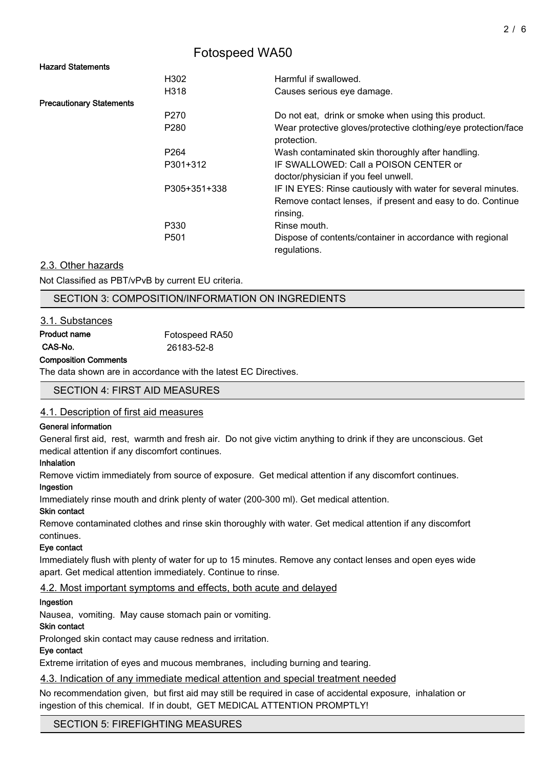### Hazard Statements

|                                 | H302             | Harmful if swallowed.                                                         |
|---------------------------------|------------------|-------------------------------------------------------------------------------|
|                                 | H318             | Causes serious eye damage.                                                    |
| <b>Precautionary Statements</b> |                  |                                                                               |
|                                 | P <sub>270</sub> | Do not eat, drink or smoke when using this product.                           |
|                                 | P <sub>280</sub> | Wear protective gloves/protective clothing/eye protection/face<br>protection. |
|                                 | P <sub>264</sub> | Wash contaminated skin thoroughly after handling.                             |
|                                 | P301+312         | IF SWALLOWED: Call a POISON CENTER or<br>doctor/physician if you feel unwell. |
|                                 | P305+351+338     | IF IN EYES: Rinse cautiously with water for several minutes.                  |
|                                 |                  | Remove contact lenses, if present and easy to do. Continue<br>rinsing.        |
|                                 | P330             | Rinse mouth.                                                                  |
|                                 | P <sub>501</sub> | Dispose of contents/container in accordance with regional<br>regulations.     |

## 2.3. Other hazards

Not Classified as PBT/vPvB by current EU criteria.

# SECTION 3: COMPOSITION/INFORMATION ON INGREDIENTS

## 3.1. Substances

| Product name | Fotospeed RA50 |
|--------------|----------------|
| CAS-No.      | 26183-52-8     |

#### Composition Comments

The data shown are in accordance with the latest EC Directives.

### SECTION 4: FIRST AID MEASURES

### 4.1. Description of first aid measures

### General information

General first aid, rest, warmth and fresh air. Do not give victim anything to drink if they are unconscious. Get medical attention if any discomfort continues.

### Inhalation

Remove victim immediately from source of exposure. Get medical attention if any discomfort continues.

### Ingestion

Immediately rinse mouth and drink plenty of water (200-300 ml). Get medical attention.

### Skin contact

Remove contaminated clothes and rinse skin thoroughly with water. Get medical attention if any discomfort continues.

### Eye contact

Immediately flush with plenty of water for up to 15 minutes. Remove any contact lenses and open eyes wide apart. Get medical attention immediately. Continue to rinse.

# 4.2. Most important symptoms and effects, both acute and delayed

### Ingestion

Nausea, vomiting. May cause stomach pain or vomiting.

### Skin contact

Prolonged skin contact may cause redness and irritation.

### Eye contact

Extreme irritation of eyes and mucous membranes, including burning and tearing.

### 4.3. Indication of any immediate medical attention and special treatment needed

No recommendation given, but first aid may still be required in case of accidental exposure, inhalation or ingestion of this chemical. If in doubt, GET MEDICAL ATTENTION PROMPTLY!

SECTION 5: FIREFIGHTING MEASURES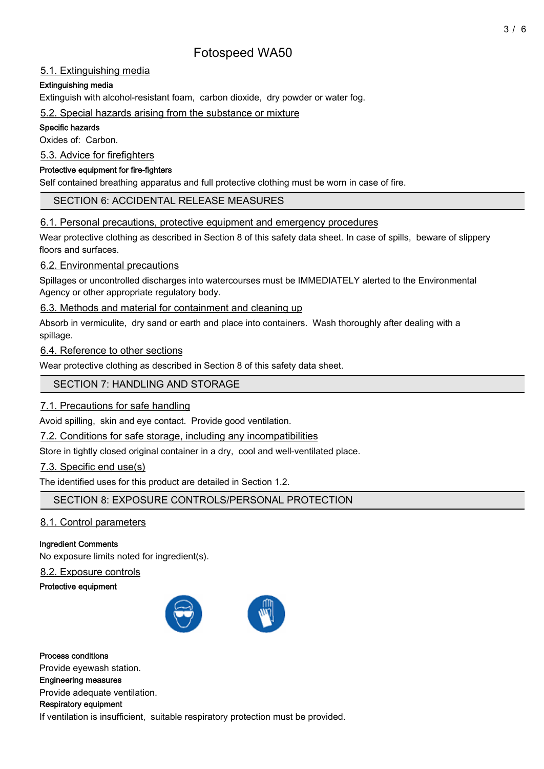# 5.1. Extinguishing media

# Extinguishing media

Extinguish with alcohol-resistant foam, carbon dioxide, dry powder or water fog.

## 5.2. Special hazards arising from the substance or mixture

## Specific hazards

Oxides of: Carbon.

5.3. Advice for firefighters

## Protective equipment for fire-fighters

Self contained breathing apparatus and full protective clothing must be worn in case of fire.

# SECTION 6: ACCIDENTAL RELEASE MEASURES

# 6.1. Personal precautions, protective equipment and emergency procedures

Wear protective clothing as described in Section 8 of this safety data sheet. In case of spills, beware of slippery floors and surfaces.

# 6.2. Environmental precautions

Spillages or uncontrolled discharges into watercourses must be IMMEDIATELY alerted to the Environmental Agency or other appropriate regulatory body.

# 6.3. Methods and material for containment and cleaning up

Absorb in vermiculite, dry sand or earth and place into containers. Wash thoroughly after dealing with a spillage.

# 6.4. Reference to other sections

Wear protective clothing as described in Section 8 of this safety data sheet.

# SECTION 7: HANDLING AND STORAGE

# 7.1. Precautions for safe handling

Avoid spilling, skin and eye contact. Provide good ventilation.

7.2. Conditions for safe storage, including any incompatibilities

Store in tightly closed original container in a dry, cool and well-ventilated place.

# 7.3. Specific end use(s)

The identified uses for this product are detailed in Section 1.2.

SECTION 8: EXPOSURE CONTROLS/PERSONAL PROTECTION

# 8.1. Control parameters

# Ingredient Comments

No exposure limits noted for ingredient(s).

# 8.2. Exposure controls

Protective equipment



Process conditions Provide eyewash station. Engineering measures Provide adequate ventilation. Respiratory equipment If ventilation is insufficient, suitable respiratory protection must be provided.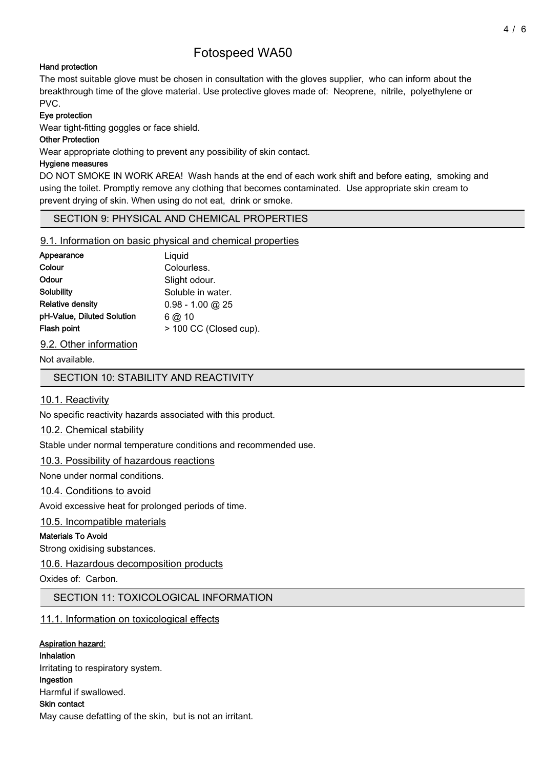## Hand protection

The most suitable glove must be chosen in consultation with the gloves supplier, who can inform about the breakthrough time of the glove material. Use protective gloves made of: Neoprene, nitrile, polyethylene or PVC.

## Eye protection

Wear tight-fitting goggles or face shield.

## Other Protection

Wear appropriate clothing to prevent any possibility of skin contact.

## Hygiene measures

DO NOT SMOKE IN WORK AREA! Wash hands at the end of each work shift and before eating, smoking and using the toilet. Promptly remove any clothing that becomes contaminated. Use appropriate skin cream to prevent drying of skin. When using do not eat, drink or smoke.

# SECTION 9: PHYSICAL AND CHEMICAL PROPERTIES

## 9.1. Information on basic physical and chemical properties

| Appearance                 | Liquid                 |
|----------------------------|------------------------|
| Colour                     | Colourless.            |
| Odour                      | Slight odour.          |
| Solubility                 | Soluble in water.      |
| Relative densitv           | $0.98 - 1.00$ @ 25     |
| pH-Value, Diluted Solution | $6$ @ 10               |
| Flash point                | > 100 CC (Closed cup). |
|                            |                        |

9.2. Other information

Not available.

SECTION 10: STABILITY AND REACTIVITY

# 10.1. Reactivity

No specific reactivity hazards associated with this product.

# 10.2. Chemical stability

Stable under normal temperature conditions and recommended use.

# 10.3. Possibility of hazardous reactions

None under normal conditions.

# 10.4. Conditions to avoid

Avoid excessive heat for prolonged periods of time.

# 10.5. Incompatible materials

### Materials To Avoid

Strong oxidising substances.

# 10.6. Hazardous decomposition products

Oxides of: Carbon.

# SECTION 11: TOXICOLOGICAL INFORMATION

# 11.1. Information on toxicological effects

# Aspiration hazard:

Inhalation Irritating to respiratory system. Ingestion Harmful if swallowed. Skin contact May cause defatting of the skin, but is not an irritant.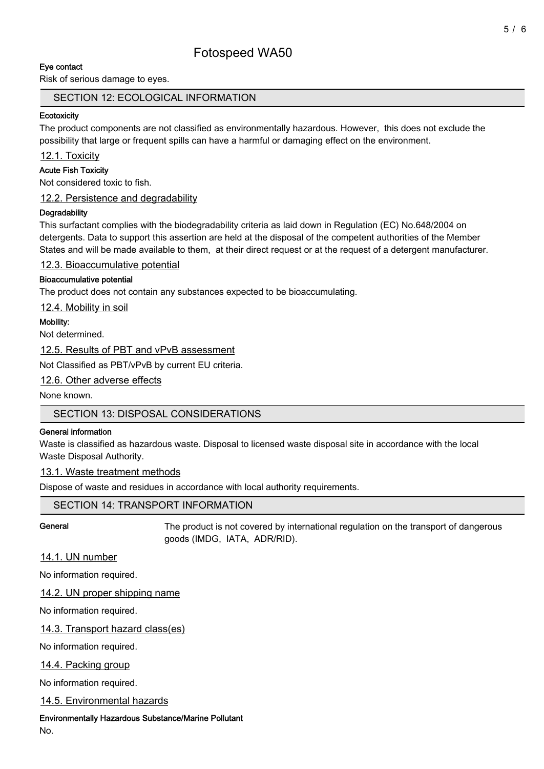# Eye contact

Risk of serious damage to eyes.

## SECTION 12: ECOLOGICAL INFORMATION

#### **Ecotoxicity**

The product components are not classified as environmentally hazardous. However, this does not exclude the possibility that large or frequent spills can have a harmful or damaging effect on the environment.

12.1. Toxicity

### Acute Fish Toxicity

Not considered toxic to fish.

12.2. Persistence and degradability

### **Degradability**

This surfactant complies with the biodegradability criteria as laid down in Regulation (EC) No.648/2004 on detergents. Data to support this assertion are held at the disposal of the competent authorities of the Member States and will be made available to them, at their direct request or at the request of a detergent manufacturer.

12.3. Bioaccumulative potential

## Bioaccumulative potential

The product does not contain any substances expected to be bioaccumulating.

12.4. Mobility in soil

## Mobility:

Not determined.

12.5. Results of PBT and vPvB assessment

Not Classified as PBT/vPvB by current EU criteria.

12.6. Other adverse effects

None known.

# SECTION 13: DISPOSAL CONSIDERATIONS

### General information

Waste is classified as hazardous waste. Disposal to licensed waste disposal site in accordance with the local Waste Disposal Authority.

### 13.1. Waste treatment methods

Dispose of waste and residues in accordance with local authority requirements.

# SECTION 14: TRANSPORT INFORMATION

General The product is not covered by international regulation on the transport of dangerous goods (IMDG, IATA, ADR/RID).

# 14.1. UN number

No information required.

14.2. UN proper shipping name

No information required.

14.3. Transport hazard class(es)

No information required.

14.4. Packing group

No information required.

14.5. Environmental hazards

Environmentally Hazardous Substance/Marine Pollutant

No.